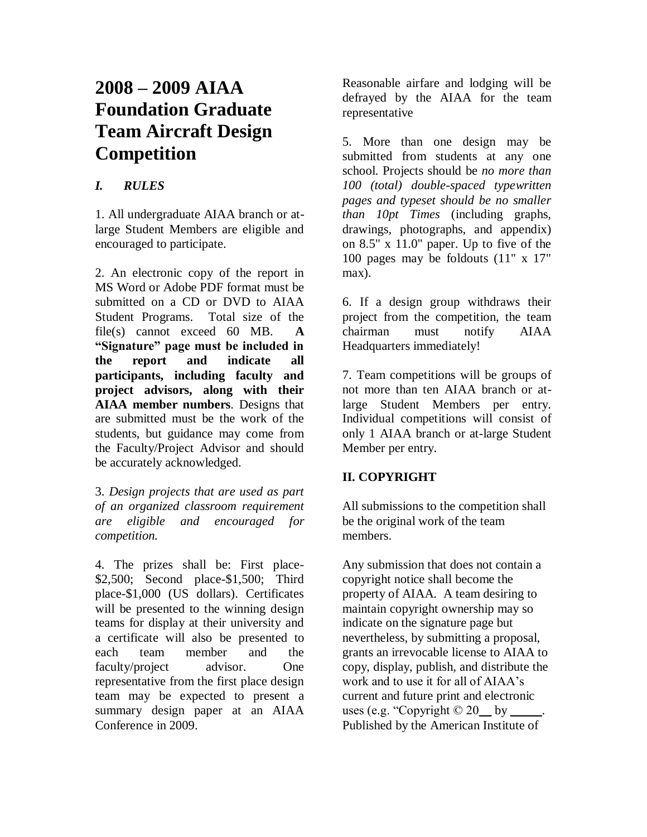# **2008 – 2009 AIAA Foundation Graduate Team Aircraft Design Competition**

### *I. RULES*

1. All undergraduate AIAA branch or atlarge Student Members are eligible and encouraged to participate.

2. An electronic copy of the report in MS Word or Adobe PDF format must be submitted on a CD or DVD to AIAA Student Programs. Total size of the file(s) cannot exceed 60 MB. **A "Signature" page must be included in the report and indicate all participants, including faculty and project advisors, along with their AIAA member numbers**. Designs that are submitted must be the work of the students, but guidance may come from the Faculty/Project Advisor and should be accurately acknowledged.

3. *Design projects that are used as part of an organized classroom requirement are eligible and encouraged for competition.*

4. The prizes shall be: First place- \$2,500; Second place-\$1,500; Third place-\$1,000 (US dollars). Certificates will be presented to the winning design teams for display at their university and a certificate will also be presented to each team member and the faculty/project advisor. One representative from the first place design team may be expected to present a summary design paper at an AIAA Conference in 2009.

Reasonable airfare and lodging will be defrayed by the AIAA for the team representative

5. More than one design may be submitted from students at any one school. Projects should be *no more than 100 (total) double-spaced typewritten pages and typeset should be no smaller than 10pt Times* (including graphs, drawings, photographs, and appendix) on 8.5" x 11.0" paper. Up to five of the 100 pages may be foldouts (11" x 17" max).

6. If a design group withdraws their project from the competition, the team chairman must notify AIAA Headquarters immediately!

7. Team competitions will be groups of not more than ten AIAA branch or atlarge Student Members per entry. Individual competitions will consist of only 1 AIAA branch or at-large Student Member per entry.

## **II. COPYRIGHT**

All submissions to the competition shall be the original work of the team members.

Any submission that does not contain a copyright notice shall become the property of AIAA. A team desiring to maintain copyright ownership may so indicate on the signature page but nevertheless, by submitting a proposal, grants an irrevocable license to AIAA to copy, display, publish, and distribute the work and to use it for all of AIAA's current and future print and electronic uses (e.g. "Copyright  $\odot$  20 by Published by the American Institute of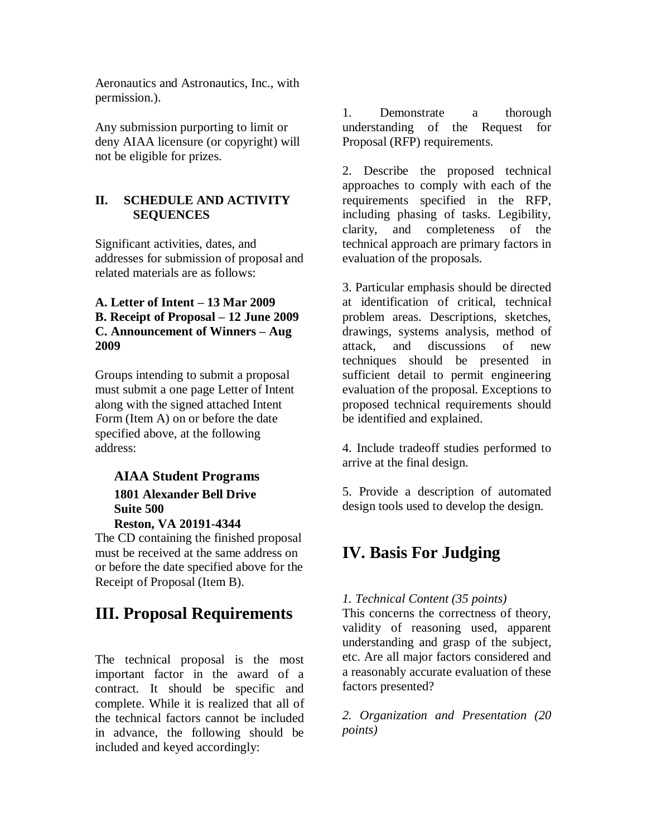Aeronautics and Astronautics, Inc., with permission.).

Any submission purporting to limit or deny AIAA licensure (or copyright) will not be eligible for prizes.

### **II. SCHEDULE AND ACTIVITY SEQUENCES**

Significant activities, dates, and addresses for submission of proposal and related materials are as follows:

#### **A. Letter of Intent – 13 Mar 2009 B. Receipt of Proposal – 12 June 2009 C. Announcement of Winners – Aug 2009**

Groups intending to submit a proposal must submit a one page Letter of Intent along with the signed attached Intent Form (Item A) on or before the date specified above, at the following address:

## **AIAA Student Programs 1801 Alexander Bell Drive Suite 500**

#### **Reston, VA 20191-4344**

The CD containing the finished proposal must be received at the same address on or before the date specified above for the Receipt of Proposal (Item B).

# **III. Proposal Requirements**

The technical proposal is the most important factor in the award of a contract. It should be specific and complete. While it is realized that all of the technical factors cannot be included in advance, the following should be included and keyed accordingly:

1. Demonstrate a thorough understanding of the Request for Proposal (RFP) requirements.

2. Describe the proposed technical approaches to comply with each of the requirements specified in the RFP, including phasing of tasks. Legibility, clarity, and completeness of the technical approach are primary factors in evaluation of the proposals.

3. Particular emphasis should be directed at identification of critical, technical problem areas. Descriptions, sketches, drawings, systems analysis, method of attack, and discussions of new techniques should be presented in sufficient detail to permit engineering evaluation of the proposal. Exceptions to proposed technical requirements should be identified and explained.

4. Include tradeoff studies performed to arrive at the final design.

5. Provide a description of automated design tools used to develop the design.

# **IV. Basis For Judging**

#### *1. Technical Content (35 points)*

This concerns the correctness of theory, validity of reasoning used, apparent understanding and grasp of the subject, etc. Are all major factors considered and a reasonably accurate evaluation of these factors presented?

*2. Organization and Presentation (20 points)*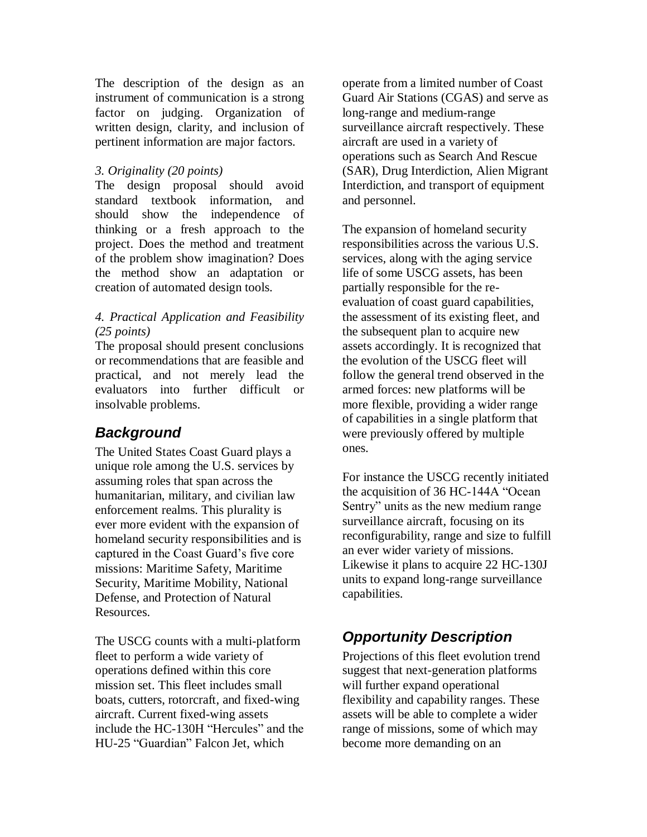The description of the design as an instrument of communication is a strong factor on judging. Organization of written design, clarity, and inclusion of pertinent information are major factors.

#### *3. Originality (20 points)*

The design proposal should avoid standard textbook information, and should show the independence of thinking or a fresh approach to the project. Does the method and treatment of the problem show imagination? Does the method show an adaptation or creation of automated design tools.

#### *4. Practical Application and Feasibility (25 points)*

The proposal should present conclusions or recommendations that are feasible and practical, and not merely lead the evaluators into further difficult or insolvable problems.

# *Background*

The United States Coast Guard plays a unique role among the U.S. services by assuming roles that span across the humanitarian, military, and civilian law enforcement realms. This plurality is ever more evident with the expansion of homeland security responsibilities and is captured in the Coast Guard's five core missions: Maritime Safety, Maritime Security, Maritime Mobility, National Defense, and Protection of Natural Resources.

The USCG counts with a multi-platform fleet to perform a wide variety of operations defined within this core mission set. This fleet includes small boats, cutters, rotorcraft, and fixed-wing aircraft. Current fixed-wing assets include the HC-130H "Hercules" and the HU-25 "Guardian" Falcon Jet, which

operate from a limited number of Coast Guard Air Stations (CGAS) and serve as long-range and medium-range surveillance aircraft respectively. These aircraft are used in a variety of operations such as Search And Rescue (SAR), Drug Interdiction, Alien Migrant Interdiction, and transport of equipment and personnel.

The expansion of homeland security responsibilities across the various U.S. services, along with the aging service life of some USCG assets, has been partially responsible for the reevaluation of coast guard capabilities, the assessment of its existing fleet, and the subsequent plan to acquire new assets accordingly. It is recognized that the evolution of the USCG fleet will follow the general trend observed in the armed forces: new platforms will be more flexible, providing a wider range of capabilities in a single platform that were previously offered by multiple ones.

For instance the USCG recently initiated the acquisition of 36 HC-144A "Ocean Sentry" units as the new medium range surveillance aircraft, focusing on its reconfigurability, range and size to fulfill an ever wider variety of missions. Likewise it plans to acquire 22 HC-130J units to expand long-range surveillance capabilities.

# *Opportunity Description*

Projections of this fleet evolution trend suggest that next-generation platforms will further expand operational flexibility and capability ranges. These assets will be able to complete a wider range of missions, some of which may become more demanding on an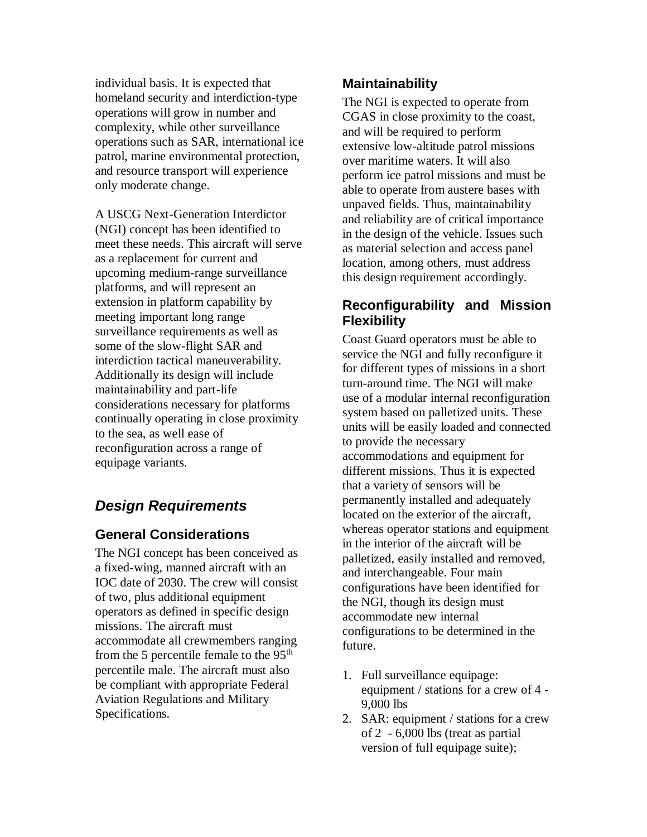individual basis. It is expected that homeland security and interdiction-type operations will grow in number and complexity, while other surveillance operations such as SAR, international ice patrol, marine environmental protection, and resource transport will experience only moderate change.

A USCG Next-Generation Interdictor (NGI) concept has been identified to meet these needs. This aircraft will serve as a replacement for current and upcoming medium-range surveillance platforms, and will represent an extension in platform capability by meeting important long range surveillance requirements as well as some of the slow-flight SAR and interdiction tactical maneuverability. Additionally its design will include maintainability and part-life considerations necessary for platforms continually operating in close proximity to the sea, as well ease of reconfiguration across a range of equipage variants.

# *Design Requirements*

### **General Considerations**

The NGI concept has been conceived as a fixed-wing, manned aircraft with an IOC date of 2030. The crew will consist of two, plus additional equipment operators as defined in specific design missions. The aircraft must accommodate all crewmembers ranging from the 5 percentile female to the  $95<sup>th</sup>$ percentile male. The aircraft must also be compliant with appropriate Federal Aviation Regulations and Military Specifications.

## **Maintainability**

The NGI is expected to operate from CGAS in close proximity to the coast, and will be required to perform extensive low-altitude patrol missions over maritime waters. It will also perform ice patrol missions and must be able to operate from austere bases with unpaved fields. Thus, maintainability and reliability are of critical importance in the design of the vehicle. Issues such as material selection and access panel location, among others, must address this design requirement accordingly.

# **Reconfigurability and Mission Flexibility**

Coast Guard operators must be able to service the NGI and fully reconfigure it for different types of missions in a short turn-around time. The NGI will make use of a modular internal reconfiguration system based on palletized units. These units will be easily loaded and connected to provide the necessary accommodations and equipment for different missions. Thus it is expected that a variety of sensors will be permanently installed and adequately located on the exterior of the aircraft, whereas operator stations and equipment in the interior of the aircraft will be palletized, easily installed and removed, and interchangeable. Four main configurations have been identified for the NGI, though its design must accommodate new internal configurations to be determined in the future.

- 1. Full surveillance equipage: equipment / stations for a crew of 4 - 9,000 lbs
- 2. SAR: equipment / stations for a crew of 2 - 6,000 lbs (treat as partial version of full equipage suite);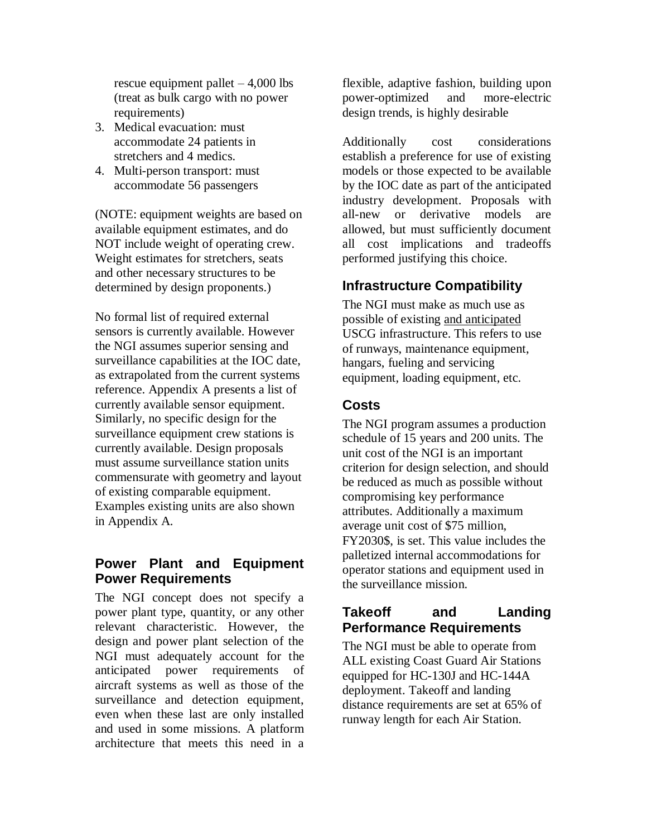rescue equipment pallet  $-4,000$  lbs (treat as bulk cargo with no power requirements)

- 3. Medical evacuation: must accommodate 24 patients in stretchers and 4 medics.
- 4. Multi-person transport: must accommodate 56 passengers

(NOTE: equipment weights are based on available equipment estimates, and do NOT include weight of operating crew. Weight estimates for stretchers, seats and other necessary structures to be determined by design proponents.)

No formal list of required external sensors is currently available. However the NGI assumes superior sensing and surveillance capabilities at the IOC date, as extrapolated from the current systems reference. Appendix A presents a list of currently available sensor equipment. Similarly, no specific design for the surveillance equipment crew stations is currently available. Design proposals must assume surveillance station units commensurate with geometry and layout of existing comparable equipment. Examples existing units are also shown in Appendix A.

### **Power Plant and Equipment Power Requirements**

The NGI concept does not specify a power plant type, quantity, or any other relevant characteristic. However, the design and power plant selection of the NGI must adequately account for the anticipated power requirements of aircraft systems as well as those of the surveillance and detection equipment, even when these last are only installed and used in some missions. A platform architecture that meets this need in a

flexible, adaptive fashion, building upon power-optimized and more-electric design trends, is highly desirable

Additionally cost considerations establish a preference for use of existing models or those expected to be available by the IOC date as part of the anticipated industry development. Proposals with all-new or derivative models are allowed, but must sufficiently document all cost implications and tradeoffs performed justifying this choice.

## **Infrastructure Compatibility**

The NGI must make as much use as possible of existing and anticipated USCG infrastructure. This refers to use of runways, maintenance equipment, hangars, fueling and servicing equipment, loading equipment, etc.

### **Costs**

The NGI program assumes a production schedule of 15 years and 200 units. The unit cost of the NGI is an important criterion for design selection, and should be reduced as much as possible without compromising key performance attributes. Additionally a maximum average unit cost of \$75 million, FY2030\$, is set. This value includes the palletized internal accommodations for operator stations and equipment used in the surveillance mission.

## **Takeoff and Landing Performance Requirements**

The NGI must be able to operate from ALL existing Coast Guard Air Stations equipped for HC-130J and HC-144A deployment. Takeoff and landing distance requirements are set at 65% of runway length for each Air Station.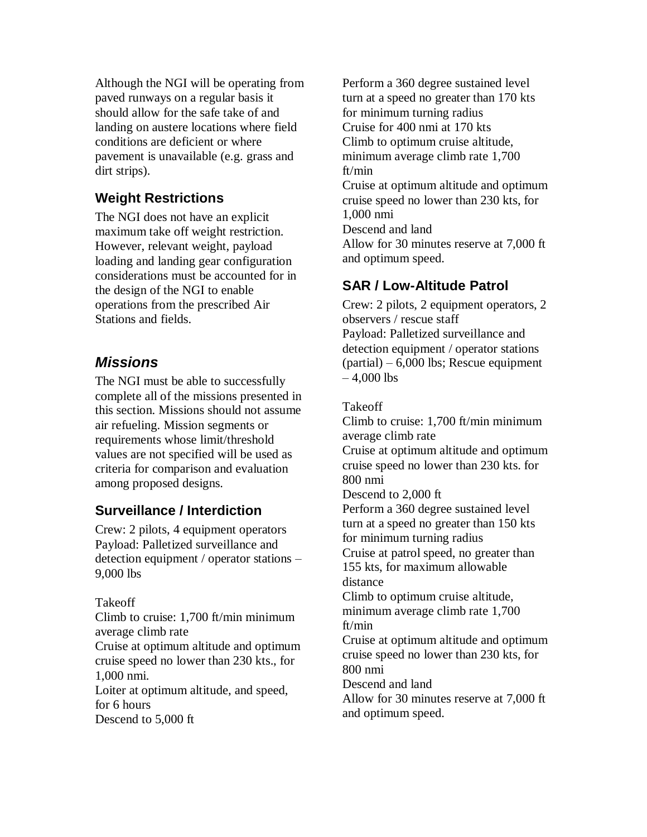Although the NGI will be operating from paved runways on a regular basis it should allow for the safe take of and landing on austere locations where field conditions are deficient or where pavement is unavailable (e.g. grass and dirt strips).

## **Weight Restrictions**

The NGI does not have an explicit maximum take off weight restriction. However, relevant weight, payload loading and landing gear configuration considerations must be accounted for in the design of the NGI to enable operations from the prescribed Air Stations and fields.

# *Missions*

The NGI must be able to successfully complete all of the missions presented in this section. Missions should not assume air refueling. Mission segments or requirements whose limit/threshold values are not specified will be used as criteria for comparison and evaluation among proposed designs.

# **Surveillance / Interdiction**

Crew: 2 pilots, 4 equipment operators Payload: Palletized surveillance and detection equipment / operator stations – 9,000 lbs

Takeoff Climb to cruise: 1,700 ft/min minimum average climb rate Cruise at optimum altitude and optimum cruise speed no lower than 230 kts., for 1,000 nmi. Loiter at optimum altitude, and speed, for 6 hours Descend to 5,000 ft

Perform a 360 degree sustained level turn at a speed no greater than 170 kts for minimum turning radius Cruise for 400 nmi at 170 kts Climb to optimum cruise altitude, minimum average climb rate 1,700 ft/min Cruise at optimum altitude and optimum cruise speed no lower than 230 kts, for 1,000 nmi Descend and land Allow for 30 minutes reserve at 7,000 ft and optimum speed.

# **SAR / Low-Altitude Patrol**

Crew: 2 pilots, 2 equipment operators, 2 observers / rescue staff Payload: Palletized surveillance and detection equipment / operator stations  $(partial) - 6,000$  lbs; Rescue equipment  $-4,000$  lbs

Takeoff

Climb to cruise: 1,700 ft/min minimum average climb rate Cruise at optimum altitude and optimum cruise speed no lower than 230 kts. for 800 nmi Descend to 2,000 ft Perform a 360 degree sustained level turn at a speed no greater than 150 kts for minimum turning radius Cruise at patrol speed, no greater than 155 kts, for maximum allowable distance Climb to optimum cruise altitude, minimum average climb rate 1,700 ft/min Cruise at optimum altitude and optimum cruise speed no lower than 230 kts, for 800 nmi Descend and land Allow for 30 minutes reserve at 7,000 ft and optimum speed.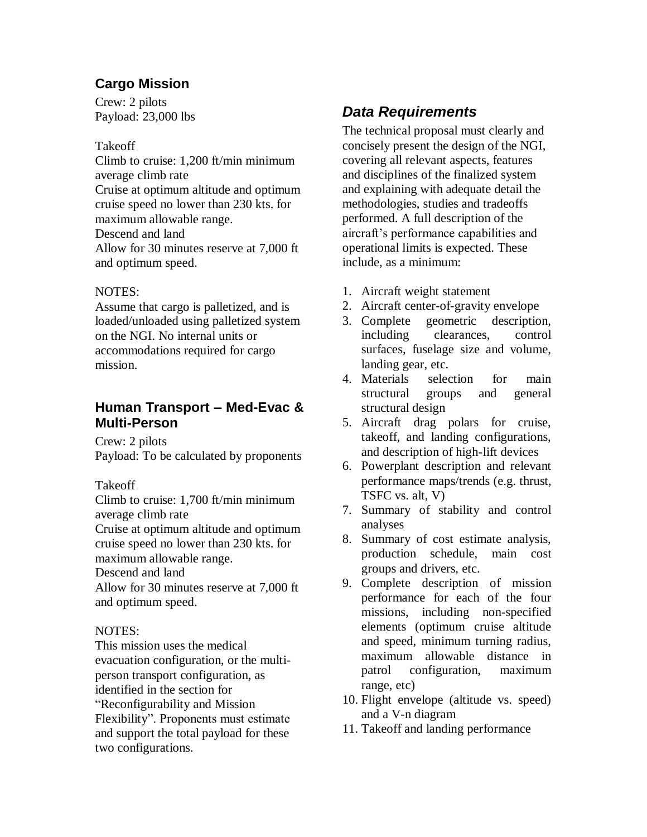# **Cargo Mission**

Crew: 2 pilots Payload: 23,000 lbs

### Takeoff

Climb to cruise: 1,200 ft/min minimum average climb rate Cruise at optimum altitude and optimum cruise speed no lower than 230 kts. for maximum allowable range. Descend and land Allow for 30 minutes reserve at 7,000 ft and optimum speed.

### NOTES:

Assume that cargo is palletized, and is loaded/unloaded using palletized system on the NGI. No internal units or accommodations required for cargo mission.

## **Human Transport – Med-Evac & Multi-Person**

Crew: 2 pilots Payload: To be calculated by proponents

### Takeoff

Climb to cruise: 1,700 ft/min minimum average climb rate

Cruise at optimum altitude and optimum cruise speed no lower than 230 kts. for maximum allowable range.

Descend and land

Allow for 30 minutes reserve at 7,000 ft and optimum speed.

### NOTES:

This mission uses the medical evacuation configuration, or the multiperson transport configuration, as identified in the section for "Reconfigurability and Mission Flexibility". Proponents must estimate and support the total payload for these two configurations.

# *Data Requirements*

The technical proposal must clearly and concisely present the design of the NGI, covering all relevant aspects, features and disciplines of the finalized system and explaining with adequate detail the methodologies, studies and tradeoffs performed. A full description of the aircraft's performance capabilities and operational limits is expected. These include, as a minimum:

- 1. Aircraft weight statement
- 2. Aircraft center-of-gravity envelope
- 3. Complete geometric description, including clearances, control surfaces, fuselage size and volume, landing gear, etc.
- 4. Materials selection for main structural groups and general structural design
- 5. Aircraft drag polars for cruise, takeoff, and landing configurations, and description of high-lift devices
- 6. Powerplant description and relevant performance maps/trends (e.g. thrust, TSFC vs. alt, V)
- 7. Summary of stability and control analyses
- 8. Summary of cost estimate analysis, production schedule, main cost groups and drivers, etc.
- 9. Complete description of mission performance for each of the four missions, including non-specified elements (optimum cruise altitude and speed, minimum turning radius, maximum allowable distance in patrol configuration, maximum range, etc)
- 10. Flight envelope (altitude vs. speed) and a V-n diagram
- 11. Takeoff and landing performance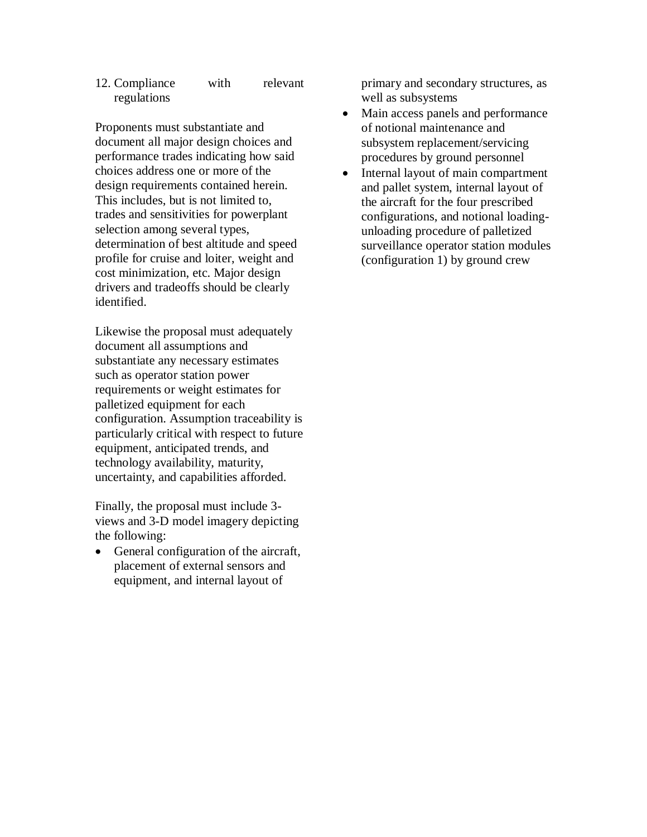#### 12. Compliance with relevant regulations

Proponents must substantiate and document all major design choices and performance trades indicating how said choices address one or more of the design requirements contained herein. This includes, but is not limited to, trades and sensitivities for powerplant selection among several types, determination of best altitude and speed profile for cruise and loiter, weight and cost minimization, etc. Major design drivers and tradeoffs should be clearly identified.

Likewise the proposal must adequately document all assumptions and substantiate any necessary estimates such as operator station power requirements or weight estimates for palletized equipment for each configuration. Assumption traceability is particularly critical with respect to future equipment, anticipated trends, and technology availability, maturity, uncertainty, and capabilities afforded.

Finally, the proposal must include 3 views and 3-D model imagery depicting the following:

• General configuration of the aircraft, placement of external sensors and equipment, and internal layout of

primary and secondary structures, as well as subsystems

- Main access panels and performance of notional maintenance and subsystem replacement/servicing procedures by ground personnel
- Internal layout of main compartment and pallet system, internal layout of the aircraft for the four prescribed configurations, and notional loadingunloading procedure of palletized surveillance operator station modules (configuration 1) by ground crew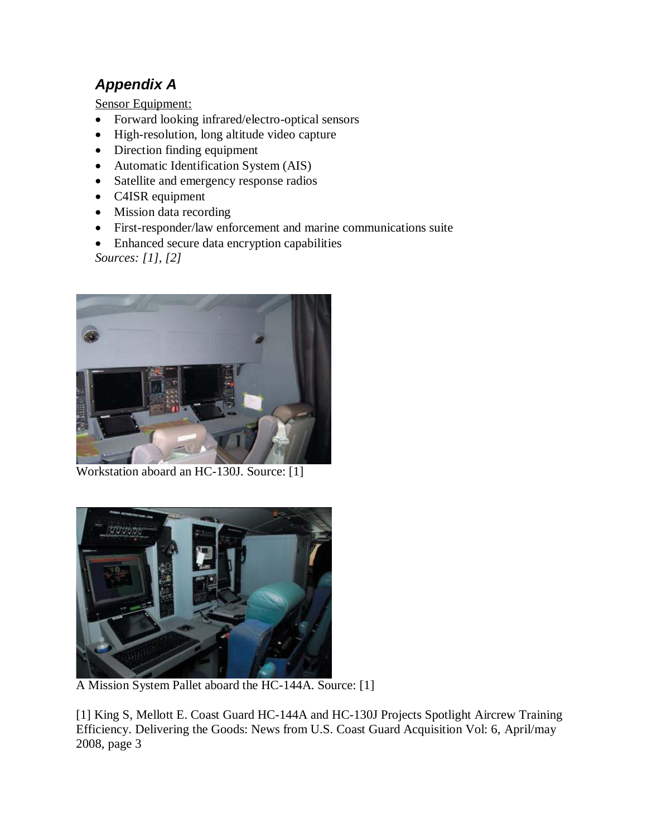# *Appendix A*

Sensor Equipment:

- Forward looking infrared/electro-optical sensors
- High-resolution, long altitude video capture
- Direction finding equipment
- Automatic Identification System (AIS)
- Satellite and emergency response radios
- C4ISR equipment
- Mission data recording
- First-responder/law enforcement and marine communications suite
- Enhanced secure data encryption capabilities

*Sources: [1], [2]*



Workstation aboard an HC-130J. Source: [1]



A Mission System Pallet aboard the HC-144A. Source: [1]

[1] King S, Mellott E. Coast Guard HC-144A and HC-130J Projects Spotlight Aircrew Training Efficiency. Delivering the Goods: News from U.S. Coast Guard Acquisition Vol: 6, April/may 2008, page 3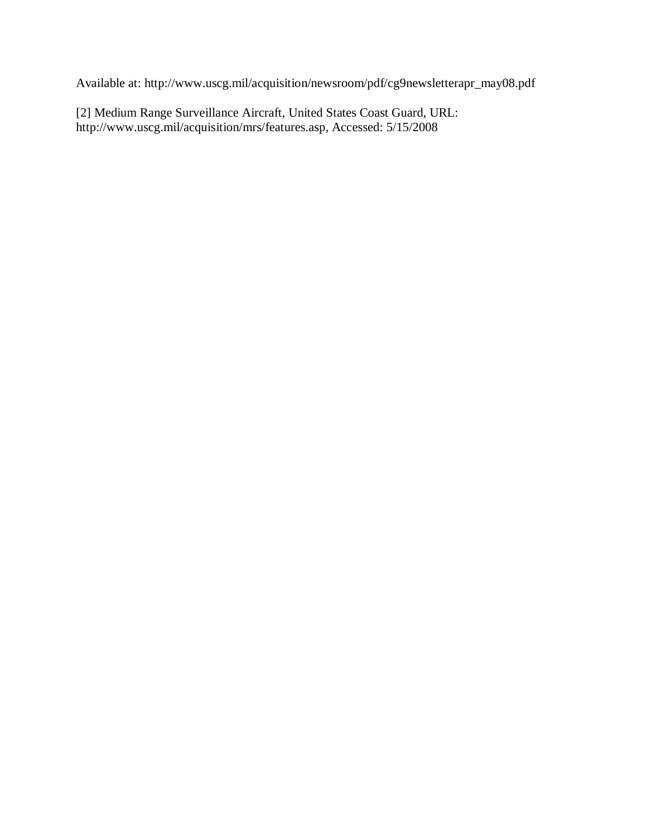Available at: http://www.uscg.mil/acquisition/newsroom/pdf/cg9newsletterapr\_may08.pdf

[2] Medium Range Surveillance Aircraft, United States Coast Guard, URL: http://www.uscg.mil/acquisition/mrs/features.asp, Accessed: 5/15/2008